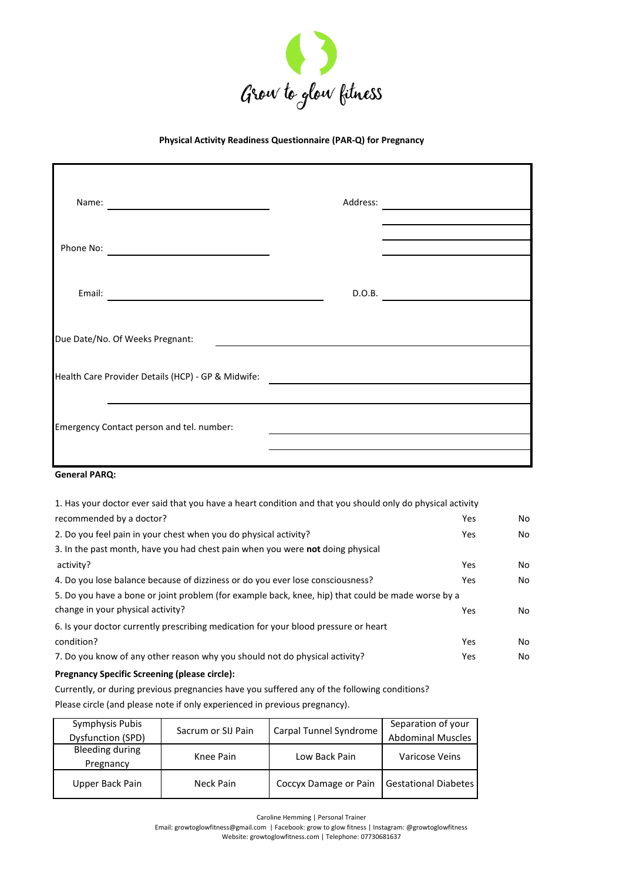

## **Physical Activity Readiness Questionnaire (PAR-Q) for Pregnancy**

| Name:                                              | Address: |  |
|----------------------------------------------------|----------|--|
| Phone No:                                          |          |  |
| Email:                                             | D.O.B.   |  |
| Due Date/No. Of Weeks Pregnant:                    |          |  |
| Health Care Provider Details (HCP) - GP & Midwife: |          |  |
| Emergency Contact person and tel. number:          |          |  |
|                                                    |          |  |

## **General PARQ:**

| Pregnancy Specific Screening (please circle):                                                              |     |    |
|------------------------------------------------------------------------------------------------------------|-----|----|
| 7. Do you know of any other reason why you should not do physical activity?                                | Yes | No |
| condition?                                                                                                 | Yes | No |
| 6. Is your doctor currently prescribing medication for your blood pressure or heart                        |     |    |
| change in your physical activity?                                                                          | Yes | No |
| 5. Do you have a bone or joint problem (for example back, knee, hip) that could be made worse by a         |     |    |
| 4. Do you lose balance because of dizziness or do you ever lose consciousness?                             | Yes | No |
| activity?                                                                                                  | Yes | No |
| 3. In the past month, have you had chest pain when you were not doing physical                             |     |    |
| 2. Do you feel pain in your chest when you do physical activity?                                           | Yes | No |
| recommended by a doctor?                                                                                   | Yes | No |
| 1. Has your doctor ever said that you have a heart condition and that you should only do physical activity |     |    |

Currently, or during previous pregnancies have you suffered any of the following conditions? Please circle (and please note if only experienced in previous pregnancy).

| Symphysis Pubis   | Sacrum or SIJ Pain |                        | Separation of your          |  |
|-------------------|--------------------|------------------------|-----------------------------|--|
| Dysfunction (SPD) |                    | Carpal Tunnel Syndrome | <b>Abdominal Muscles</b>    |  |
| Bleeding during   | Knee Pain          | Low Back Pain          | Varicose Veins              |  |
| Pregnancy         |                    |                        |                             |  |
| Upper Back Pain   | Neck Pain          | Coccyx Damage or Pain  | <b>Gestational Diabetes</b> |  |

Caroline Hemming | Personal Trainer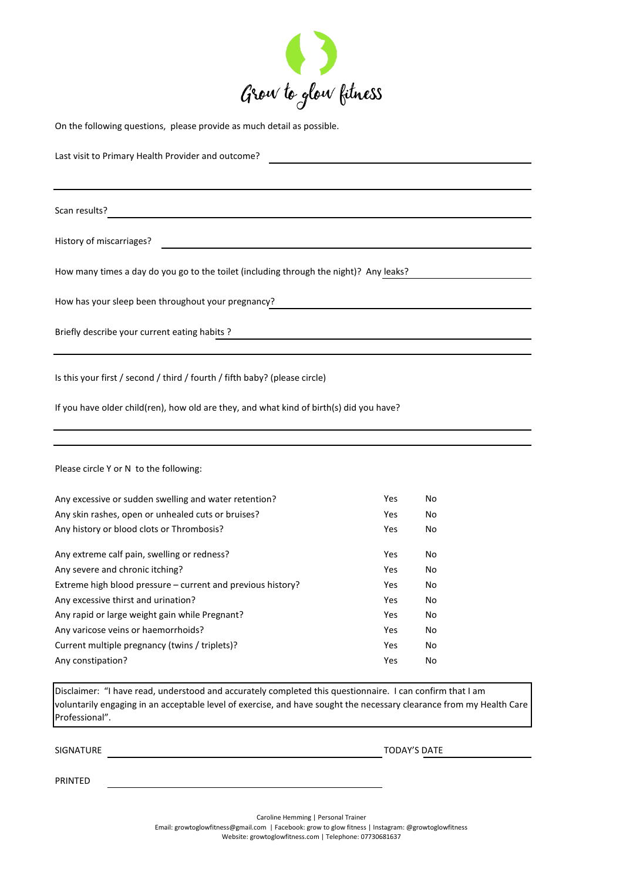

On the following questions, please provide as much detail as possible.

Last visit to Primary Health Provider and outcome?

Scan results?

History of miscarriages?

How many times a day do you go to the toilet (including through the night)? Any leaks?

How has your sleep been throughout your pregnancy?

Briefly describe your current eating habits ?

Is this your first / second / third / fourth / fifth baby? (please circle)

If you have older child(ren), how old are they, and what kind of birth(s) did you have?

Please circle Y or N to the following:

| Any excessive or sudden swelling and water retention?       | Yes | No |
|-------------------------------------------------------------|-----|----|
| Any skin rashes, open or unhealed cuts or bruises?          | Yes | No |
| Any history or blood clots or Thrombosis?                   |     | No |
|                                                             |     |    |
| Any extreme calf pain, swelling or redness?                 | Yes | No |
| Any severe and chronic itching?                             | Yes | No |
| Extreme high blood pressure – current and previous history? | Yes | No |
| Any excessive thirst and urination?                         | Yes | No |
| Any rapid or large weight gain while Pregnant?              | Yes | No |
| Any varicose veins or haemorrhoids?                         | Yes | No |
| Current multiple pregnancy (twins / triplets)?              | Yes | No |
| Any constipation?                                           | Yes | No |

Disclaimer: "I have read, understood and accurately completed this questionnaire. I can confirm that I am voluntarily engaging in an acceptable level of exercise, and have sought the necessary clearance from my Health Care Professional".

SIGNATURE TODAY'S DATE

PRINTED

Caroline Hemming | Personal Trainer

Email: growtoglowfitness@gmail.com | Facebook: grow to glow fitness | Instagram: @growtoglowfitness

Website: growtoglowfitness.com | Telephone: 07730681637